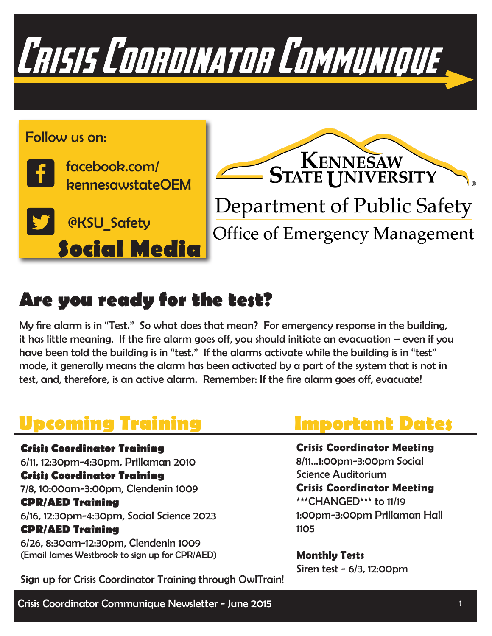



### **Are you ready for the test?**

My fire alarm is in "Test." So what does that mean? For emergency response in the building, it has little meaning. If the fire alarm goes off, you should initiate an evacuation – even if you have been told the building is in "test." If the alarms activate while the building is in "test" mode, it generally means the alarm has been activated by a part of the system that is not in test, and, therefore, is an active alarm. Remember: If the fire alarm goes off, evacuate!

## **Upcoming Training**

**Crisis Coordinator Training**  6/11, 12:30pm-4:30pm, Prillaman 2010 **Crisis Coordinator Training** 7/8, 10:00am-3:00pm, Clendenin 1009 **CPR/AED Training** 6/16, 12:30pm-4:30pm, Social Science 2023 **CPR/AED Training** 6/26, 8:30am-12:30pm, Clendenin 1009 (Email James Westbrook to sign up for CPR/AED)

### **Important Dates**

**Crisis Coordinator Meeting**  8/11...1:00pm-3:00pm Social Science Auditorium **Crisis Coordinator Meeting**  \*\*\*CHANGED\*\*\* to 11/19 1:00pm-3:00pm Prillaman Hall 1105

**Monthly Tests** Siren test - 6/3, 12:00pm

Sign up for Crisis Coordinator Training through OwlTrain!

Crisis Coordinator Communique Newsletter - June 2015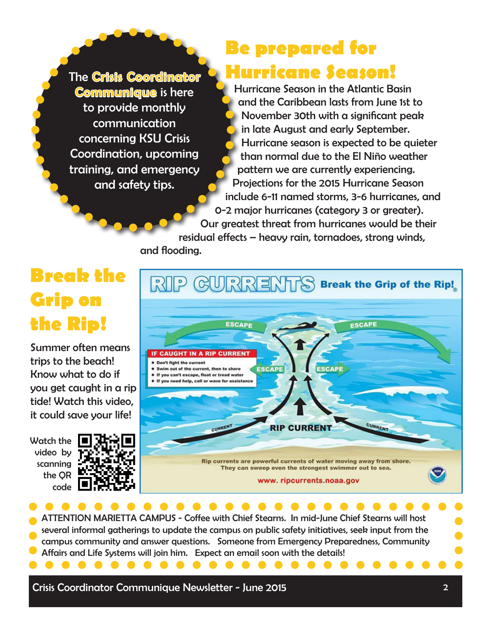The Crisis Coordinator Communique is here to provide monthly communication concerning KSU Crisis Coordination, upcoming training, and emergency and safety tips.

## **Be prepared for Hurricane Season!**

Hurricane Season in the Atlantic Basin and the Caribbean lasts from June 1st to November 30th with a significant peak in late August and early September. Hurricane season is expected to be quieter than normal due to the El Niño weather pattern we are currently experiencing. Projections for the 2015 Hurricane Season include 6-11 named storms, 3-6 hurricanes, and 0-2 major hurricanes (category 3 or greater).

Our greatest threat from hurricanes would be their residual effects – heavy rain, tornadoes, strong winds, and flooding.

## **Break the Grip on the Rip!**

Summer often means trips to the beach! Know what to do if you get caught in a rip tide! Watch this video, it could save your life!

Watch the video by scanning the QR code





**Contract Contract Contract Contract** 

ATTENTION MARIETTA CAMPUS - Coffee with Chief Stearns. In mid-June Chief Stearns will host several informal gatherings to update the campus on public safety initiatives, seek input from the campus community and answer questions. Someone from Emergency Preparedness, Community Affairs and Life Systems will join him. Expect an email soon with the details!

Crisis Coordinator Communique Newsletter - June 2015

. . . . . . . . .

. . . . . . . . . . . . . . . . . .